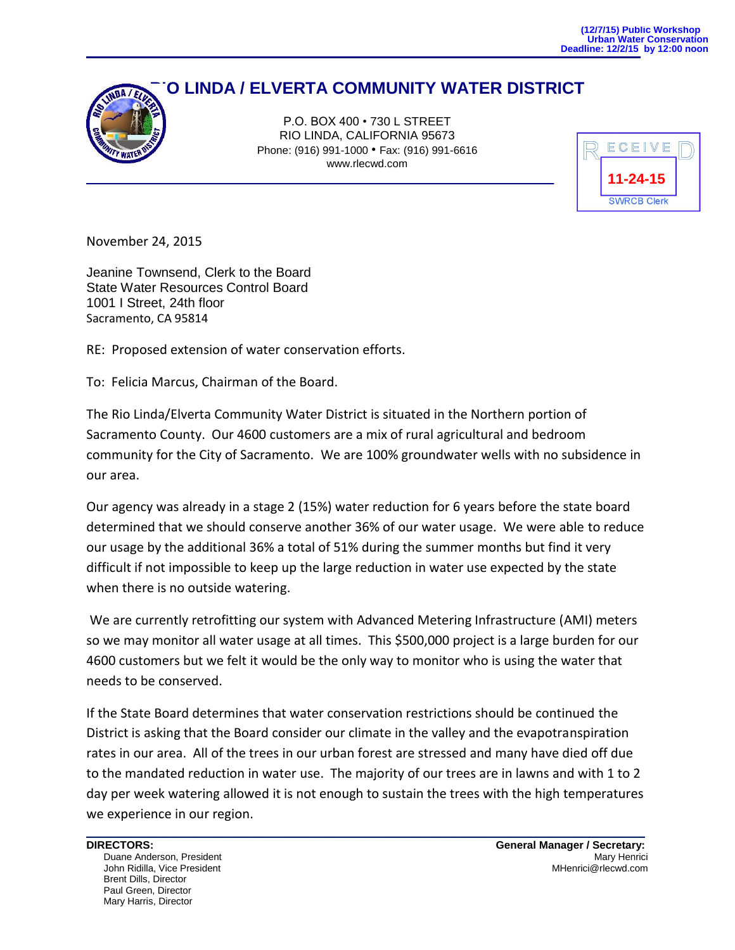## **RIO LINDA / ELVERTA COMMUNITY WATER DISTRICT**



P.O. BOX 400 • 730 L STREET RIO LINDA, CALIFORNIA 95673 Phone: (916) 991-1000 • Fax: (916) 991-6616 www.rlecwd.com



November 24, 2015

Jeanine Townsend, Clerk to the Board State Water Resources Control Board 1001 I Street, 24th floor Sacramento, CA 95814

RE: Proposed extension of water conservation efforts.

To: Felicia Marcus, Chairman of the Board.

The Rio Linda/Elverta Community Water District is situated in the Northern portion of Sacramento County. Our 4600 customers are a mix of rural agricultural and bedroom community for the City of Sacramento. We are 100% groundwater wells with no subsidence in our area.

Our agency was already in a stage 2 (15%) water reduction for 6 years before the state board determined that we should conserve another 36% of our water usage. We were able to reduce our usage by the additional 36% a total of 51% during the summer months but find it very difficult if not impossible to keep up the large reduction in water use expected by the state when there is no outside watering.

We are currently retrofitting our system with Advanced Metering Infrastructure (AMI) meters so we may monitor all water usage at all times. This \$500,000 project is a large burden for our 4600 customers but we felt it would be the only way to monitor who is using the water that needs to be conserved.

If the State Board determines that water conservation restrictions should be continued the District is asking that the Board consider our climate in the valley and the evapotranspiration rates in our area. All of the trees in our urban forest are stressed and many have died off due to the mandated reduction in water use. The majority of our trees are in lawns and with 1 to 2 day per week watering allowed it is not enough to sustain the trees with the high temperatures we experience in our region.